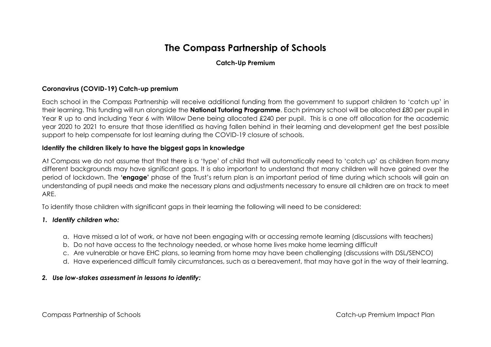# **The Compass Partnership of Schools**

# **Catch-Up Premium**

### **Coronavirus (COVID-19) Catch-up premium**

Each school in the Compass Partnership will receive additional funding from the government to support children to 'catch up' in their learning. This funding will run alongside the **National Tutoring Programme**. Each primary school will be allocated £80 per pupil in Year R up to and including Year 6 with Willow Dene being allocated £240 per pupil. This is a one off allocation for the academic year 2020 to 2021 to ensure that those identified as having fallen behind in their learning and development get the best possible support to help compensate for lost learning during the COVID-19 closure of schools.

#### **Identify the children likely to have the biggest gaps in knowledge**

At Compass we do not assume that that there is a 'type' of child that will automatically need to 'catch up' as children from many different backgrounds may have significant gaps. It is also important to understand that many children will have gained over the period of lockdown. The **'engage'** phase of the Trust's return plan is an important period of time during which schools will gain an understanding of pupil needs and make the necessary plans and adjustments necessary to ensure all children are on track to meet ARE.

To identify those children with significant gaps in their learning the following will need to be considered:

#### *1. Identify children who:*

- a. Have missed a lot of work, or have not been engaging with or accessing remote learning (discussions with teachers)
- b. Do not have access to the technology needed, or whose home lives make home learning difficult
- c. Are vulnerable or have EHC plans, so learning from home may have been challenging (discussions with DSL/SENCO)
- d. Have experienced difficult family circumstances, such as a bereavement, that may have got in the way of their learning.

#### *2. Use low-stakes assessment in lessons to identify:*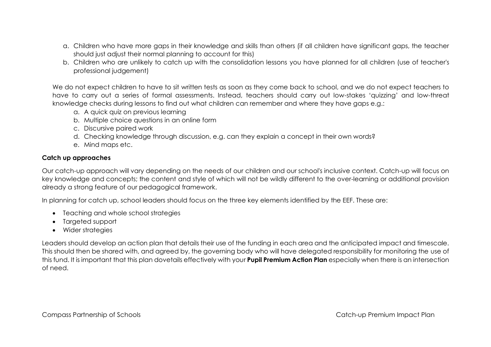- a. Children who have more gaps in their knowledge and skills than others (if all children have significant gaps, the teacher should just adjust their normal planning to account for this)
- b. Children who are unlikely to catch up with the consolidation lessons you have planned for all children (use of teacher's professional judgement)

We do not expect children to have to sit written tests as soon as they come back to school, and we do not expect teachers to have to carry out a series of formal assessments. Instead, teachers should carry out low-stakes 'quizzing' and low-threat knowledge checks during lessons to find out what children can remember and where they have gaps e.g.:

- a. A quick quiz on previous learning
- b. Multiple choice questions in an online form
- c. Discursive paired work
- d. Checking knowledge through discussion, e.g. can they explain a concept in their own words?
- e. Mind maps etc.

# **Catch up approaches**

Our catch-up approach will vary depending on the needs of our children and our school's inclusive context. Catch-up will focus on key knowledge and concepts; the content and style of which will not be wildly different to the over-learning or additional provision already a strong feature of our pedagogical framework.

In planning for catch up, school leaders should focus on the three key elements identified by the EEF. These are:

- Teaching and whole school strategies
- Targeted support
- Wider strategies

Leaders should develop an action plan that details their use of the funding in each area and the anticipated impact and timescale. This should then be shared with, and agreed by, the governing body who will have delegated responsibility for monitoring the use of this fund. It is important that this plan dovetails effectively with your **Pupil Premium Action Plan** especially when there is an intersection of need.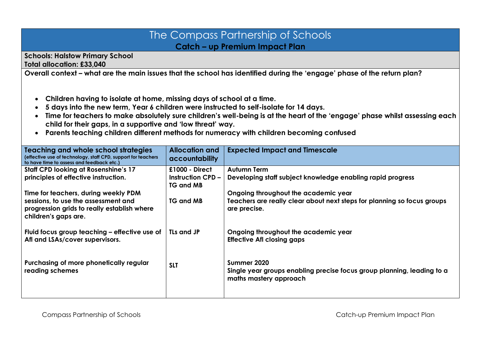# The Compass Partnership of Schools **Catch – up Premium Impact Plan**

**Schools: Halstow Primary School Total allocation: £33,040**

**Overall context – what are the main issues that the school has identified during the 'engage' phase of the return plan?**

- **Children having to isolate at home, missing days of school at a time.**
- **5 days into the new term, Year 6 children were instructed to self-isolate for 14 days.**
- **Time for teachers to make absolutely sure children's well-being is at the heart of the 'engage' phase whilst assessing each child for their gaps, in a supportive and 'low threat' way.**
- **Parents teaching children different methods for numeracy with children becoming confused**

| Teaching and whole school strategies<br>(effective use of technology, staff CPD, support for teachers<br>to have time to assess and feedback etc.) | <b>Allocation and</b><br>accountability                          | <b>Expected Impact and Timescale</b>                                                                                            |
|----------------------------------------------------------------------------------------------------------------------------------------------------|------------------------------------------------------------------|---------------------------------------------------------------------------------------------------------------------------------|
| <b>Staff CPD looking at Rosenshine's 17</b><br>principles of effective instruction.                                                                | $£1000 - Direct$<br><b>Instruction CPD -</b><br><b>TG and MB</b> | Autumn Term<br>Developing staff subject knowledge enabling rapid progress                                                       |
| Time for teachers, during weekly PDM<br>sessions, to use the assessment and<br>progression grids to really establish where<br>children's gaps are. | <b>TG and MB</b>                                                 | Ongoing throughout the academic year<br>Teachers are really clear about next steps for planning so focus groups<br>are precise. |
| Fluid focus group teaching - effective use of<br>Afl and LSAs/cover supervisors.                                                                   | <b>TLs and JP</b>                                                | Ongoing throughout the academic year<br><b>Effective Afl closing gaps</b>                                                       |
| Purchasing of more phonetically regular<br>reading schemes                                                                                         | <b>SLT</b>                                                       | Summer 2020<br>Single year groups enabling precise focus group planning, leading to a<br>maths mastery approach                 |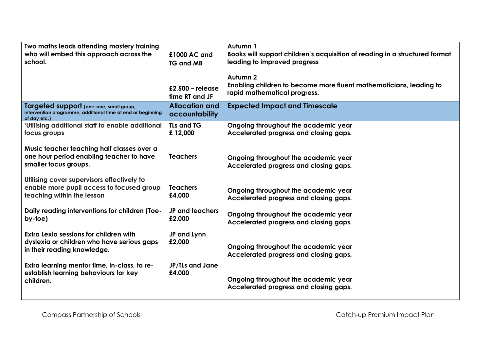| Two maths leads attending mastery training<br>who will embed this approach across the<br>school.                       | £1000 AC and<br><b>TG and MB</b>        | Autumn 1<br>Books will support children's acquisition of reading in a structured format<br>leading to improved progress<br>Autumn <sub>2</sub> |
|------------------------------------------------------------------------------------------------------------------------|-----------------------------------------|------------------------------------------------------------------------------------------------------------------------------------------------|
|                                                                                                                        | £2,500 – release<br>time RT and JF      | Enabling children to become more fluent mathematicians, leading to<br>rapid mathematical progress.                                             |
| Targeted support (one-one, small group,<br>intervention programme, additional time at end or beginning<br>of day etc.) | <b>Allocation and</b><br>accountability | <b>Expected Impact and Timescale</b>                                                                                                           |
| 'Utilising additional staff to enable additional<br>focus groups                                                       | <b>TLs and TG</b><br>£12,000            | Ongoing throughout the academic year<br>Accelerated progress and closing gaps.                                                                 |
| Music teacher teaching half classes over a<br>one hour period enabling teacher to have<br>smaller focus groups.        | <b>Teachers</b>                         | Ongoing throughout the academic year<br>Accelerated progress and closing gaps.                                                                 |
| Utilising cover supervisors effectively to<br>enable more pupil access to focused group<br>teaching within the lesson  | <b>Teachers</b><br>£4,000               | Ongoing throughout the academic year<br>Accelerated progress and closing gaps.                                                                 |
| Daily reading interventions for children (Toe-<br>by-toe)                                                              | <b>JP and teachers</b><br>£2,000        | Ongoing throughout the academic year<br>Accelerated progress and closing gaps.                                                                 |
| Extra Lexia sessions for children with<br>dyslexia or children who have serious gaps<br>in their reading knowledge.    | JP and Lynn<br>£2,000                   | Ongoing throughout the academic year<br>Accelerated progress and closing gaps.                                                                 |
| Extra learning mentor time, in-class, to re-<br>establish learning behaviours for key<br>children.                     | JP/TLs and Jane<br>£4,000               | Ongoing throughout the academic year<br>Accelerated progress and closing gaps.                                                                 |